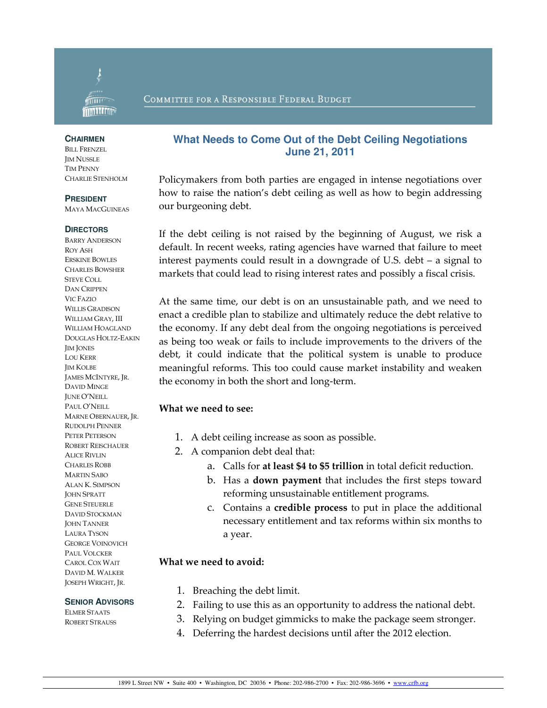

#### COMMITTEE FOR A RESPONSIBLE FEDERAL BUDGET

#### **CHAIRMEN**

BILL FRENZEL JIM NUSSLE TIM PENNY CHARLIE STENHOLM

#### **PRESIDENT**

MAYA MACGUINEAS

#### **DIRECTORS**

BARRY ANDERSON ROY ASH ERSKINE BOWLES CHARLES BOWSHER STEVE COLL DAN CRIPPEN VIC FAZIO WILLIS GRADISON WILLIAM GRAY, III WILLIAM HOAGLAND DOUGLAS HOLTZ-EAKIN JIM JONES LOU KERR JIM KOLBE JAMES MCINTYRE, JR. DAVID MINGE JUNE O'NEILL PAUL O'NEILL MARNE OBERNAUER, JR. RUDOLPH PENNER PETER PETERSON ROBERT REISCHAUER ALICE RIVLIN CHARLES ROBB MARTIN SABO ALAN K. SIMPSON JOHN SPRATT GENE STEUERLE DAVID STOCKMAN **JOHN TANNER** LAURA TYSON GEORGE VOINOVICH PAUL VOLCKER CAROL COX WAIT DAVID M. WALKER JOSEPH WRIGHT, JR.

#### **SENIOR ADVISORS**

ELMER STAATS ROBERT STRAUSS

## **What Needs to Come Out of the Debt Ceiling Negotiations June 21, 2011**

Policymakers from both parties are engaged in intense negotiations over how to raise the nation's debt ceiling as well as how to begin addressing our burgeoning debt.

If the debt ceiling is not raised by the beginning of August, we risk a default. In recent weeks, rating agencies have warned that failure to meet interest payments could result in a downgrade of U.S. debt – a signal to markets that could lead to rising interest rates and possibly a fiscal crisis.

At the same time, our debt is on an unsustainable path, and we need to enact a credible plan to stabilize and ultimately reduce the debt relative to the economy. If any debt deal from the ongoing negotiations is perceived as being too weak or fails to include improvements to the drivers of the debt, it could indicate that the political system is unable to produce meaningful reforms. This too could cause market instability and weaken the economy in both the short and long-term.

#### What we need to see:

- 1. A debt ceiling increase as soon as possible.
- 2. A companion debt deal that:
	- a. Calls for at least \$4 to \$5 trillion in total deficit reduction.
	- b. Has a down payment that includes the first steps toward reforming unsustainable entitlement programs.
	- c. Contains a credible process to put in place the additional necessary entitlement and tax reforms within six months to a year.

#### What we need to avoid:

- 1. Breaching the debt limit.
- 2. Failing to use this as an opportunity to address the national debt.
- 3. Relying on budget gimmicks to make the package seem stronger.
- 4. Deferring the hardest decisions until after the 2012 election.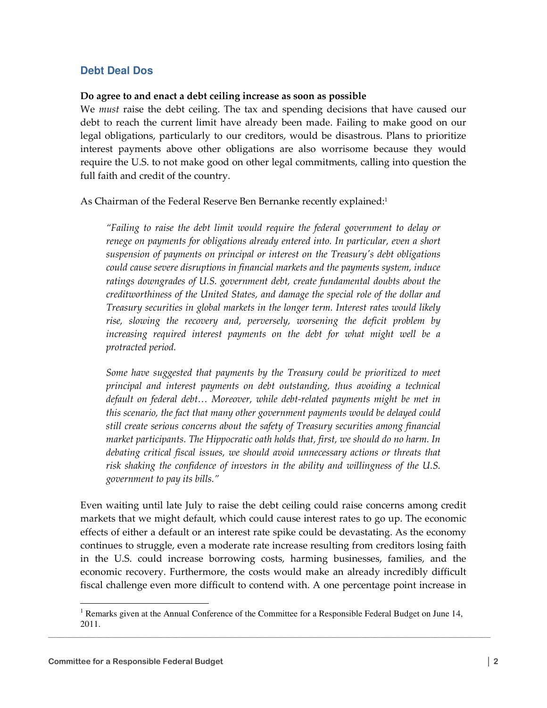## **Debt Deal Dos**

#### Do agree to and enact a debt ceiling increase as soon as possible

We *must* raise the debt ceiling. The tax and spending decisions that have caused our debt to reach the current limit have already been made. Failing to make good on our legal obligations, particularly to our creditors, would be disastrous. Plans to prioritize interest payments above other obligations are also worrisome because they would require the U.S. to not make good on other legal commitments, calling into question the full faith and credit of the country.

As Chairman of the Federal Reserve Ben Bernanke recently explained:<sup>1</sup>

"Failing to raise the debt limit would require the federal government to delay or renege on payments for obligations already entered into. In particular, even a short suspension of payments on principal or interest on the Treasury's debt obligations could cause severe disruptions in financial markets and the payments system, induce ratings downgrades of U.S. government debt, create fundamental doubts about the creditworthiness of the United States, and damage the special role of the dollar and Treasury securities in global markets in the longer term. Interest rates would likely rise, slowing the recovery and, perversely, worsening the deficit problem by increasing required interest payments on the debt for what might well be a protracted period.

Some have suggested that payments by the Treasury could be prioritized to meet principal and interest payments on debt outstanding, thus avoiding a technical default on federal debt… Moreover, while debt-related payments might be met in this scenario, the fact that many other government payments would be delayed could still create serious concerns about the safety of Treasury securities among financial market participants. The Hippocratic oath holds that, first, we should do no harm. In debating critical fiscal issues, we should avoid unnecessary actions or threats that risk shaking the confidence of investors in the ability and willingness of the U.S. government to pay its bills."

Even waiting until late July to raise the debt ceiling could raise concerns among credit markets that we might default, which could cause interest rates to go up. The economic effects of either a default or an interest rate spike could be devastating. As the economy continues to struggle, even a moderate rate increase resulting from creditors losing faith in the U.S. could increase borrowing costs, harming businesses, families, and the economic recovery. Furthermore, the costs would make an already incredibly difficult fiscal challenge even more difficult to contend with. A one percentage point increase in

 $\overline{a}$ 

 $\mathcal{L}_\mathcal{L} = \{ \mathcal{L}_\mathcal{L} = \{ \mathcal{L}_\mathcal{L} = \{ \mathcal{L}_\mathcal{L} = \{ \mathcal{L}_\mathcal{L} = \{ \mathcal{L}_\mathcal{L} = \{ \mathcal{L}_\mathcal{L} = \{ \mathcal{L}_\mathcal{L} = \{ \mathcal{L}_\mathcal{L} = \{ \mathcal{L}_\mathcal{L} = \{ \mathcal{L}_\mathcal{L} = \{ \mathcal{L}_\mathcal{L} = \{ \mathcal{L}_\mathcal{L} = \{ \mathcal{L}_\mathcal{L} = \{ \mathcal{L}_\mathcal{$ <sup>1</sup> Remarks given at the Annual Conference of the Committee for a Responsible Federal Budget on June 14, 2011.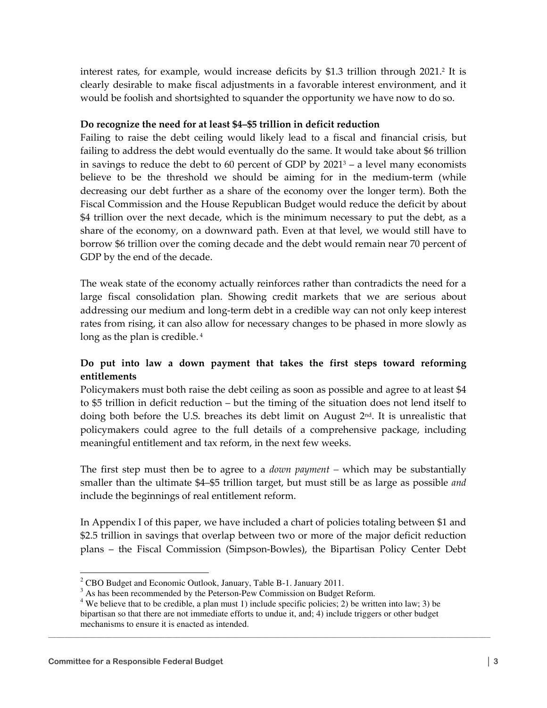interest rates, for example, would increase deficits by \$1.3 trillion through 2021.<sup>2</sup> It is clearly desirable to make fiscal adjustments in a favorable interest environment, and it would be foolish and shortsighted to squander the opportunity we have now to do so.

#### Do recognize the need for at least \$4–\$5 trillion in deficit reduction

Failing to raise the debt ceiling would likely lead to a fiscal and financial crisis, but failing to address the debt would eventually do the same. It would take about \$6 trillion in savings to reduce the debt to 60 percent of GDP by 2021<sup>3</sup> – a level many economists believe to be the threshold we should be aiming for in the medium-term (while decreasing our debt further as a share of the economy over the longer term). Both the Fiscal Commission and the House Republican Budget would reduce the deficit by about \$4 trillion over the next decade, which is the minimum necessary to put the debt, as a share of the economy, on a downward path. Even at that level, we would still have to borrow \$6 trillion over the coming decade and the debt would remain near 70 percent of GDP by the end of the decade.

The weak state of the economy actually reinforces rather than contradicts the need for a large fiscal consolidation plan. Showing credit markets that we are serious about addressing our medium and long-term debt in a credible way can not only keep interest rates from rising, it can also allow for necessary changes to be phased in more slowly as long as the plan is credible.<sup>4</sup>

## Do put into law a down payment that takes the first steps toward reforming entitlements

Policymakers must both raise the debt ceiling as soon as possible and agree to at least \$4 to \$5 trillion in deficit reduction – but the timing of the situation does not lend itself to doing both before the U.S. breaches its debt limit on August  $2<sup>nd</sup>$ . It is unrealistic that policymakers could agree to the full details of a comprehensive package, including meaningful entitlement and tax reform, in the next few weeks.

The first step must then be to agree to a *down payment* – which may be substantially smaller than the ultimate \$4–\$5 trillion target, but must still be as large as possible and include the beginnings of real entitlement reform.

In Appendix I of this paper, we have included a chart of policies totaling between \$1 and \$2.5 trillion in savings that overlap between two or more of the major deficit reduction plans – the Fiscal Commission (Simpson-Bowles), the Bipartisan Policy Center Debt

 2 CBO Budget and Economic Outlook, January, Table B-1. January 2011.

 $3$  As has been recommended by the Peterson-Pew Commission on Budget Reform.

<sup>&</sup>lt;sup>4</sup> We believe that to be credible, a plan must 1) include specific policies; 2) be written into law; 3) be bipartisan so that there are not immediate efforts to undue it, and; 4) include triggers or other budget mechanisms to ensure it is enacted as intended.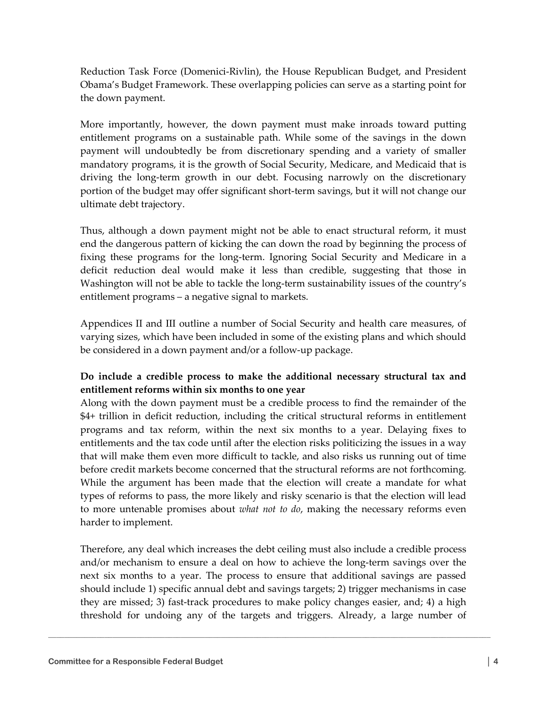Reduction Task Force (Domenici-Rivlin), the House Republican Budget, and President Obama's Budget Framework. These overlapping policies can serve as a starting point for the down payment.

More importantly, however, the down payment must make inroads toward putting entitlement programs on a sustainable path. While some of the savings in the down payment will undoubtedly be from discretionary spending and a variety of smaller mandatory programs, it is the growth of Social Security, Medicare, and Medicaid that is driving the long-term growth in our debt. Focusing narrowly on the discretionary portion of the budget may offer significant short-term savings, but it will not change our ultimate debt trajectory.

Thus, although a down payment might not be able to enact structural reform, it must end the dangerous pattern of kicking the can down the road by beginning the process of fixing these programs for the long-term. Ignoring Social Security and Medicare in a deficit reduction deal would make it less than credible, suggesting that those in Washington will not be able to tackle the long-term sustainability issues of the country's entitlement programs – a negative signal to markets.

Appendices II and III outline a number of Social Security and health care measures, of varying sizes, which have been included in some of the existing plans and which should be considered in a down payment and/or a follow-up package.

# Do include a credible process to make the additional necessary structural tax and entitlement reforms within six months to one year

Along with the down payment must be a credible process to find the remainder of the \$4+ trillion in deficit reduction, including the critical structural reforms in entitlement programs and tax reform, within the next six months to a year. Delaying fixes to entitlements and the tax code until after the election risks politicizing the issues in a way that will make them even more difficult to tackle, and also risks us running out of time before credit markets become concerned that the structural reforms are not forthcoming. While the argument has been made that the election will create a mandate for what types of reforms to pass, the more likely and risky scenario is that the election will lead to more untenable promises about *what not to do*, making the necessary reforms even harder to implement.

Therefore, any deal which increases the debt ceiling must also include a credible process and/or mechanism to ensure a deal on how to achieve the long-term savings over the next six months to a year. The process to ensure that additional savings are passed should include 1) specific annual debt and savings targets; 2) trigger mechanisms in case they are missed; 3) fast-track procedures to make policy changes easier, and; 4) a high threshold for undoing any of the targets and triggers. Already, a large number of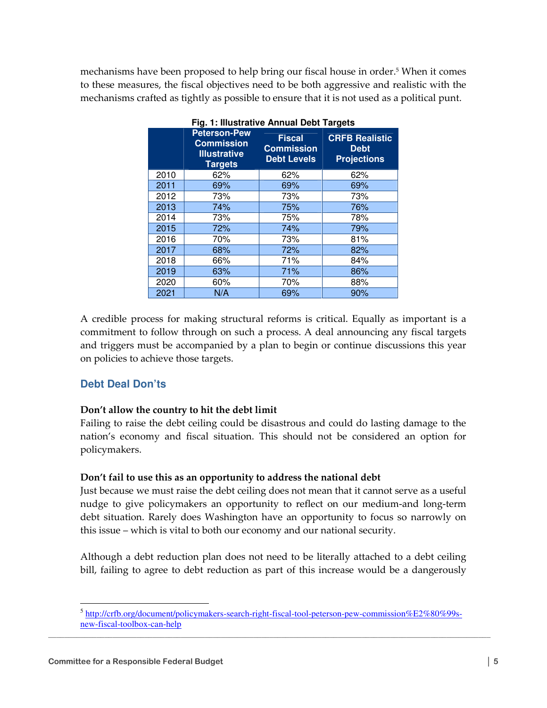mechanisms have been proposed to help bring our fiscal house in order.<sup>5</sup> When it comes to these measures, the fiscal objectives need to be both aggressive and realistic with the mechanisms crafted as tightly as possible to ensure that it is not used as a political punt.

|      | <b>Peterson-Pew</b><br><b>Commission</b><br><b>Illustrative</b><br><b>Targets</b> | <b>Fiscal</b><br><b>Commission</b><br>Debt Levels | <b>CRFB Realistic</b><br><b>Debt</b><br><b>Projections</b> |
|------|-----------------------------------------------------------------------------------|---------------------------------------------------|------------------------------------------------------------|
| 2010 | 62%                                                                               | 62%                                               | 62%                                                        |
| 2011 | 69%                                                                               | 69%                                               | 69%                                                        |
| 2012 | 73%                                                                               | 73%                                               | 73%                                                        |
| 2013 | 74%                                                                               | 75%                                               | 76%                                                        |
| 2014 | 73%                                                                               | 75%                                               | 78%                                                        |
| 2015 | 72%                                                                               | 74%                                               | 79%                                                        |
| 2016 | 70%                                                                               | 73%                                               | 81%                                                        |
| 2017 | 68%                                                                               | 72%                                               | 82%                                                        |
| 2018 | 66%                                                                               | 71%                                               | 84%                                                        |
| 2019 | 63%                                                                               | 71%                                               | 86%                                                        |
| 2020 | 60%                                                                               | 70%                                               | 88%                                                        |
| 2021 | N/A                                                                               | 69%                                               | 90%                                                        |

**Fig. 1: Illustrative Annual Debt Targets** 

A credible process for making structural reforms is critical. Equally as important is a commitment to follow through on such a process. A deal announcing any fiscal targets and triggers must be accompanied by a plan to begin or continue discussions this year on policies to achieve those targets.

## **Debt Deal Don'ts**

#### Don't allow the country to hit the debt limit

Failing to raise the debt ceiling could be disastrous and could do lasting damage to the nation's economy and fiscal situation. This should not be considered an option for policymakers.

#### Don't fail to use this as an opportunity to address the national debt

Just because we must raise the debt ceiling does not mean that it cannot serve as a useful nudge to give policymakers an opportunity to reflect on our medium-and long-term debt situation. Rarely does Washington have an opportunity to focus so narrowly on this issue – which is vital to both our economy and our national security.

Although a debt reduction plan does not need to be literally attached to a debt ceiling bill, failing to agree to debt reduction as part of this increase would be a dangerously

 $\mathcal{L}_\mathcal{L} = \{ \mathcal{L}_\mathcal{L} = \{ \mathcal{L}_\mathcal{L} = \{ \mathcal{L}_\mathcal{L} = \{ \mathcal{L}_\mathcal{L} = \{ \mathcal{L}_\mathcal{L} = \{ \mathcal{L}_\mathcal{L} = \{ \mathcal{L}_\mathcal{L} = \{ \mathcal{L}_\mathcal{L} = \{ \mathcal{L}_\mathcal{L} = \{ \mathcal{L}_\mathcal{L} = \{ \mathcal{L}_\mathcal{L} = \{ \mathcal{L}_\mathcal{L} = \{ \mathcal{L}_\mathcal{L} = \{ \mathcal{L}_\mathcal{$  5 http://crfb.org/document/policymakers-search-right-fiscal-tool-peterson-pew-commission%E2%80%99snew-fiscal-toolbox-can-help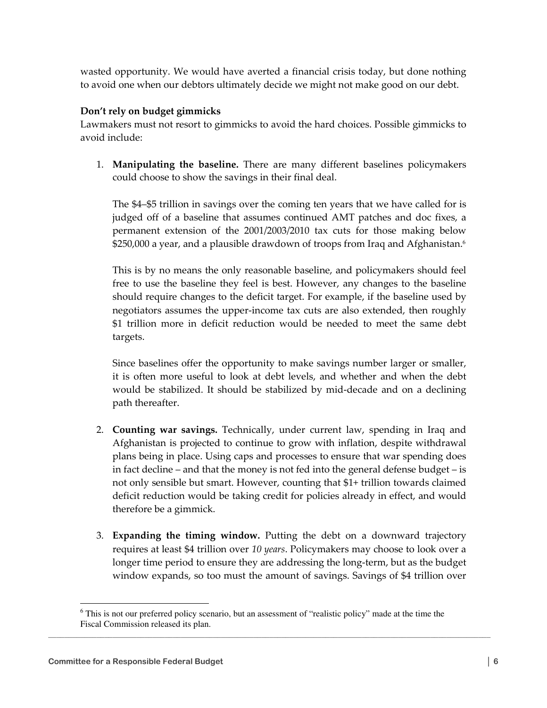wasted opportunity. We would have averted a financial crisis today, but done nothing to avoid one when our debtors ultimately decide we might not make good on our debt.

#### Don't rely on budget gimmicks

Lawmakers must not resort to gimmicks to avoid the hard choices. Possible gimmicks to avoid include:

1. Manipulating the baseline. There are many different baselines policymakers could choose to show the savings in their final deal.

The \$4–\$5 trillion in savings over the coming ten years that we have called for is judged off of a baseline that assumes continued AMT patches and doc fixes, a permanent extension of the 2001/2003/2010 tax cuts for those making below \$250,000 a year, and a plausible drawdown of troops from Iraq and Afghanistan.<sup>6</sup>

This is by no means the only reasonable baseline, and policymakers should feel free to use the baseline they feel is best. However, any changes to the baseline should require changes to the deficit target. For example, if the baseline used by negotiators assumes the upper-income tax cuts are also extended, then roughly \$1 trillion more in deficit reduction would be needed to meet the same debt targets.

Since baselines offer the opportunity to make savings number larger or smaller, it is often more useful to look at debt levels, and whether and when the debt would be stabilized. It should be stabilized by mid-decade and on a declining path thereafter.

- 2. Counting war savings. Technically, under current law, spending in Iraq and Afghanistan is projected to continue to grow with inflation, despite withdrawal plans being in place. Using caps and processes to ensure that war spending does in fact decline – and that the money is not fed into the general defense budget – is not only sensible but smart. However, counting that \$1+ trillion towards claimed deficit reduction would be taking credit for policies already in effect, and would therefore be a gimmick.
- 3. Expanding the timing window. Putting the debt on a downward trajectory requires at least \$4 trillion over 10 years. Policymakers may choose to look over a longer time period to ensure they are addressing the long-term, but as the budget window expands, so too must the amount of savings. Savings of \$4 trillion over

 $\mathcal{L}_\mathcal{L} = \{ \mathcal{L}_\mathcal{L} = \{ \mathcal{L}_\mathcal{L} = \{ \mathcal{L}_\mathcal{L} = \{ \mathcal{L}_\mathcal{L} = \{ \mathcal{L}_\mathcal{L} = \{ \mathcal{L}_\mathcal{L} = \{ \mathcal{L}_\mathcal{L} = \{ \mathcal{L}_\mathcal{L} = \{ \mathcal{L}_\mathcal{L} = \{ \mathcal{L}_\mathcal{L} = \{ \mathcal{L}_\mathcal{L} = \{ \mathcal{L}_\mathcal{L} = \{ \mathcal{L}_\mathcal{L} = \{ \mathcal{L}_\mathcal{$ 

 $\overline{a}$ 

<sup>&</sup>lt;sup>6</sup> This is not our preferred policy scenario, but an assessment of "realistic policy" made at the time the Fiscal Commission released its plan.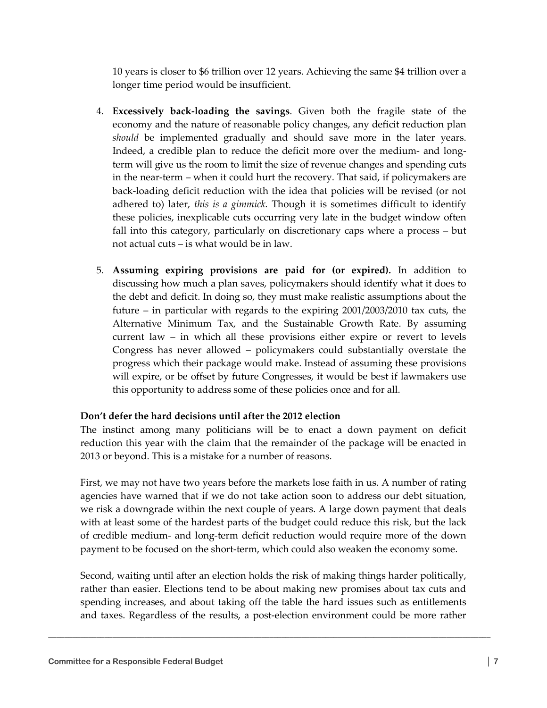10 years is closer to \$6 trillion over 12 years. Achieving the same \$4 trillion over a longer time period would be insufficient.

- 4. Excessively back-loading the savings. Given both the fragile state of the economy and the nature of reasonable policy changes, any deficit reduction plan should be implemented gradually and should save more in the later years. Indeed, a credible plan to reduce the deficit more over the medium- and longterm will give us the room to limit the size of revenue changes and spending cuts in the near-term – when it could hurt the recovery. That said, if policymakers are back-loading deficit reduction with the idea that policies will be revised (or not adhered to) later, this is a gimmick. Though it is sometimes difficult to identify these policies, inexplicable cuts occurring very late in the budget window often fall into this category, particularly on discretionary caps where a process – but not actual cuts – is what would be in law.
- 5. Assuming expiring provisions are paid for (or expired). In addition to discussing how much a plan saves, policymakers should identify what it does to the debt and deficit. In doing so, they must make realistic assumptions about the future – in particular with regards to the expiring 2001/2003/2010 tax cuts, the Alternative Minimum Tax, and the Sustainable Growth Rate. By assuming current law – in which all these provisions either expire or revert to levels Congress has never allowed – policymakers could substantially overstate the progress which their package would make. Instead of assuming these provisions will expire, or be offset by future Congresses, it would be best if lawmakers use this opportunity to address some of these policies once and for all.

## Don't defer the hard decisions until after the 2012 election

The instinct among many politicians will be to enact a down payment on deficit reduction this year with the claim that the remainder of the package will be enacted in 2013 or beyond. This is a mistake for a number of reasons.

First, we may not have two years before the markets lose faith in us. A number of rating agencies have warned that if we do not take action soon to address our debt situation, we risk a downgrade within the next couple of years. A large down payment that deals with at least some of the hardest parts of the budget could reduce this risk, but the lack of credible medium- and long-term deficit reduction would require more of the down payment to be focused on the short-term, which could also weaken the economy some.

Second, waiting until after an election holds the risk of making things harder politically, rather than easier. Elections tend to be about making new promises about tax cuts and spending increases, and about taking off the table the hard issues such as entitlements and taxes. Regardless of the results, a post-election environment could be more rather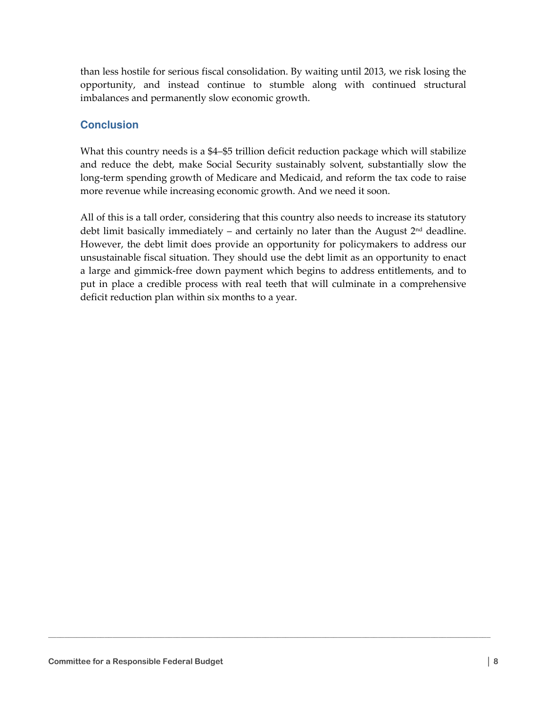than less hostile for serious fiscal consolidation. By waiting until 2013, we risk losing the opportunity, and instead continue to stumble along with continued structural imbalances and permanently slow economic growth.

# **Conclusion**

What this country needs is a \$4–\$5 trillion deficit reduction package which will stabilize and reduce the debt, make Social Security sustainably solvent, substantially slow the long-term spending growth of Medicare and Medicaid, and reform the tax code to raise more revenue while increasing economic growth. And we need it soon.

All of this is a tall order, considering that this country also needs to increase its statutory debt limit basically immediately – and certainly no later than the August  $2<sup>nd</sup>$  deadline. However, the debt limit does provide an opportunity for policymakers to address our unsustainable fiscal situation. They should use the debt limit as an opportunity to enact a large and gimmick-free down payment which begins to address entitlements, and to put in place a credible process with real teeth that will culminate in a comprehensive deficit reduction plan within six months to a year.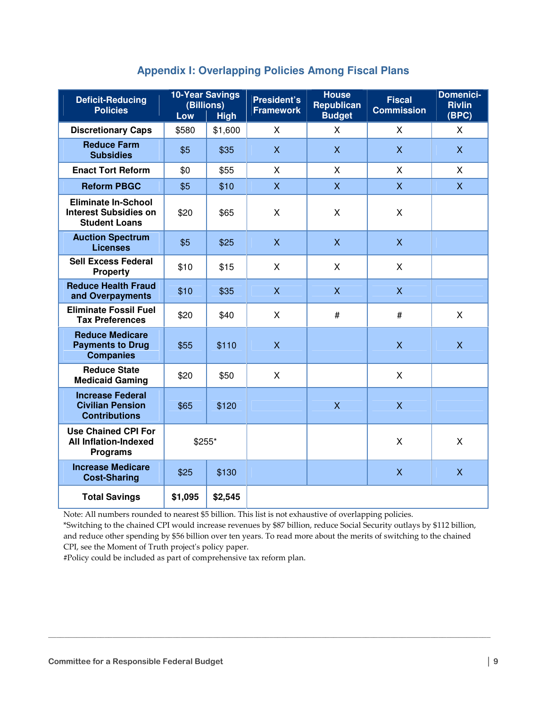|  | <b>Appendix I: Overlapping Policies Among Fiscal Plans</b> |  |  |  |  |
|--|------------------------------------------------------------|--|--|--|--|
|--|------------------------------------------------------------|--|--|--|--|

| <b>Deficit-Reducing</b><br><b>Policies</b>                                              | <b>10-Year Savings</b><br>(Billions)<br>Low<br><b>High</b> |         | <b>President's</b><br><b>Framework</b> | <b>House</b><br><b>Republican</b><br><b>Budget</b> | <b>Fiscal</b><br><b>Commission</b> | <b>Domenici-</b><br><b>Rivlin</b><br>(BPC) |
|-----------------------------------------------------------------------------------------|------------------------------------------------------------|---------|----------------------------------------|----------------------------------------------------|------------------------------------|--------------------------------------------|
| <b>Discretionary Caps</b>                                                               | \$580                                                      | \$1,600 | X                                      | X                                                  | X                                  | $\mathsf{X}$                               |
| <b>Reduce Farm</b><br><b>Subsidies</b>                                                  | \$5                                                        | \$35    | X                                      | $\mathsf{X}$                                       | $\mathsf{X}$                       | $\mathsf{X}$                               |
| <b>Enact Tort Reform</b>                                                                | \$0                                                        | \$55    | X                                      | X                                                  | X                                  | X                                          |
| <b>Reform PBGC</b>                                                                      | \$5                                                        | \$10    | $\overline{X}$                         | $\overline{X}$                                     | $\overline{X}$                     | $\overline{X}$                             |
| <b>Eliminate In-School</b><br><b>Interest Subsidies on</b><br><b>Student Loans</b>      | \$20                                                       | \$65    | Χ                                      | X                                                  | X                                  |                                            |
| <b>Auction Spectrum</b><br><b>Licenses</b>                                              | \$5                                                        | \$25    | $\overline{\mathsf{X}}$                | $\mathsf{X}$                                       | $\overline{X}$                     |                                            |
| <b>Sell Excess Federal</b><br><b>Property</b>                                           | \$10                                                       | \$15    | X                                      | X                                                  | X                                  |                                            |
| <b>Reduce Health Fraud</b><br>and Overpayments                                          | \$10                                                       | \$35    | $\mathsf{X}$                           | $\mathsf{X}$                                       | $\overline{X}$                     |                                            |
| <b>Eliminate Fossil Fuel</b><br><b>Tax Preferences</b>                                  | \$20                                                       | \$40    | X                                      | $\#$                                               | #                                  | X                                          |
| <b>Reduce Medicare</b><br><b>Payments to Drug</b><br><b>Companies</b>                   | \$55                                                       | \$110   | X                                      |                                                    | X                                  | $\mathsf{X}$                               |
| <b>Reduce State</b><br><b>Medicaid Gaming</b>                                           | \$20                                                       | \$50    | X                                      |                                                    | X                                  |                                            |
| <b>Increase Federal</b><br><b>Civilian Pension</b><br><b>Contributions</b>              | \$65                                                       | \$120   |                                        | $\overline{\mathsf{X}}$                            | $\overline{\mathsf{X}}$            |                                            |
| <b>Use Chained CPI For</b><br><b>All Inflation-Indexed</b><br>\$255*<br><b>Programs</b> |                                                            |         |                                        | X                                                  | X                                  |                                            |
| <b>Increase Medicare</b><br><b>Cost-Sharing</b>                                         | \$25                                                       | \$130   |                                        |                                                    | $\mathsf{X}$                       | X                                          |
| <b>Total Savings</b>                                                                    | \$1,095                                                    | \$2,545 |                                        |                                                    |                                    |                                            |

Note: All numbers rounded to nearest \$5 billion. This list is not exhaustive of overlapping policies.

\*Switching to the chained CPI would increase revenues by \$87 billion, reduce Social Security outlays by \$112 billion, and reduce other spending by \$56 billion over ten years. To read more about the merits of switching to the chained CPI, see the Moment of Truth project's policy paper.

 $\mathcal{L}_\mathcal{L} = \{ \mathcal{L}_\mathcal{L} = \{ \mathcal{L}_\mathcal{L} = \{ \mathcal{L}_\mathcal{L} = \{ \mathcal{L}_\mathcal{L} = \{ \mathcal{L}_\mathcal{L} = \{ \mathcal{L}_\mathcal{L} = \{ \mathcal{L}_\mathcal{L} = \{ \mathcal{L}_\mathcal{L} = \{ \mathcal{L}_\mathcal{L} = \{ \mathcal{L}_\mathcal{L} = \{ \mathcal{L}_\mathcal{L} = \{ \mathcal{L}_\mathcal{L} = \{ \mathcal{L}_\mathcal{L} = \{ \mathcal{L}_\mathcal{$ 

#Policy could be included as part of comprehensive tax reform plan.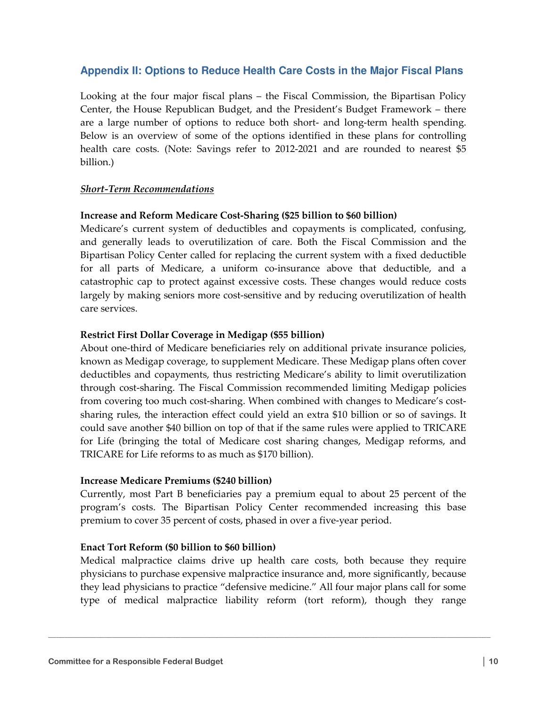# **Appendix II: Options to Reduce Health Care Costs in the Major Fiscal Plans**

Looking at the four major fiscal plans – the Fiscal Commission, the Bipartisan Policy Center, the House Republican Budget, and the President's Budget Framework – there are a large number of options to reduce both short- and long-term health spending. Below is an overview of some of the options identified in these plans for controlling health care costs. (Note: Savings refer to 2012-2021 and are rounded to nearest \$5 billion.)

## Short-Term Recommendations

#### Increase and Reform Medicare Cost-Sharing (\$25 billion to \$60 billion)

Medicare's current system of deductibles and copayments is complicated, confusing, and generally leads to overutilization of care. Both the Fiscal Commission and the Bipartisan Policy Center called for replacing the current system with a fixed deductible for all parts of Medicare, a uniform co-insurance above that deductible, and a catastrophic cap to protect against excessive costs. These changes would reduce costs largely by making seniors more cost-sensitive and by reducing overutilization of health care services.

## Restrict First Dollar Coverage in Medigap (\$55 billion)

About one-third of Medicare beneficiaries rely on additional private insurance policies, known as Medigap coverage, to supplement Medicare. These Medigap plans often cover deductibles and copayments, thus restricting Medicare's ability to limit overutilization through cost-sharing. The Fiscal Commission recommended limiting Medigap policies from covering too much cost-sharing. When combined with changes to Medicare's costsharing rules, the interaction effect could yield an extra \$10 billion or so of savings. It could save another \$40 billion on top of that if the same rules were applied to TRICARE for Life (bringing the total of Medicare cost sharing changes, Medigap reforms, and TRICARE for Life reforms to as much as \$170 billion).

#### Increase Medicare Premiums (\$240 billion)

Currently, most Part B beneficiaries pay a premium equal to about 25 percent of the program's costs. The Bipartisan Policy Center recommended increasing this base premium to cover 35 percent of costs, phased in over a five-year period.

#### Enact Tort Reform (\$0 billion to \$60 billion)

Medical malpractice claims drive up health care costs, both because they require physicians to purchase expensive malpractice insurance and, more significantly, because they lead physicians to practice "defensive medicine." All four major plans call for some type of medical malpractice liability reform (tort reform), though they range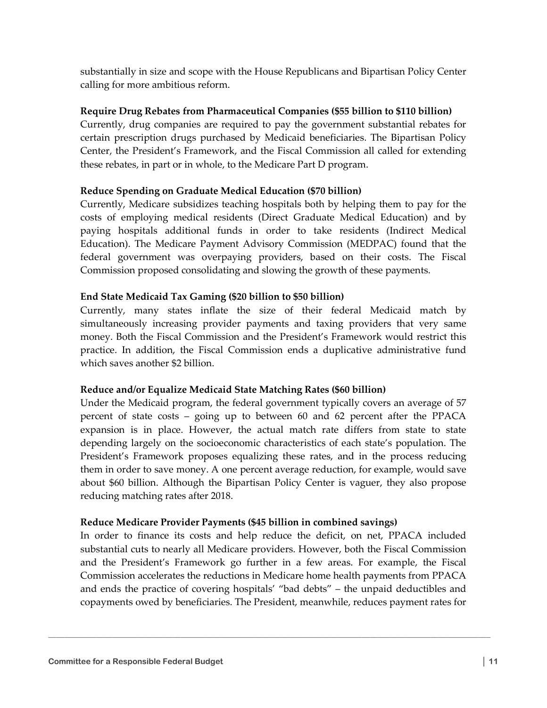substantially in size and scope with the House Republicans and Bipartisan Policy Center calling for more ambitious reform.

## Require Drug Rebates from Pharmaceutical Companies (\$55 billion to \$110 billion)

Currently, drug companies are required to pay the government substantial rebates for certain prescription drugs purchased by Medicaid beneficiaries. The Bipartisan Policy Center, the President's Framework, and the Fiscal Commission all called for extending these rebates, in part or in whole, to the Medicare Part D program.

## Reduce Spending on Graduate Medical Education (\$70 billion)

Currently, Medicare subsidizes teaching hospitals both by helping them to pay for the costs of employing medical residents (Direct Graduate Medical Education) and by paying hospitals additional funds in order to take residents (Indirect Medical Education). The Medicare Payment Advisory Commission (MEDPAC) found that the federal government was overpaying providers, based on their costs. The Fiscal Commission proposed consolidating and slowing the growth of these payments.

## End State Medicaid Tax Gaming (\$20 billion to \$50 billion)

Currently, many states inflate the size of their federal Medicaid match by simultaneously increasing provider payments and taxing providers that very same money. Both the Fiscal Commission and the President's Framework would restrict this practice. In addition, the Fiscal Commission ends a duplicative administrative fund which saves another \$2 billion.

## Reduce and/or Equalize Medicaid State Matching Rates (\$60 billion)

Under the Medicaid program, the federal government typically covers an average of 57 percent of state costs – going up to between 60 and 62 percent after the PPACA expansion is in place. However, the actual match rate differs from state to state depending largely on the socioeconomic characteristics of each state's population. The President's Framework proposes equalizing these rates, and in the process reducing them in order to save money. A one percent average reduction, for example, would save about \$60 billion. Although the Bipartisan Policy Center is vaguer, they also propose reducing matching rates after 2018.

## Reduce Medicare Provider Payments (\$45 billion in combined savings)

In order to finance its costs and help reduce the deficit, on net, PPACA included substantial cuts to nearly all Medicare providers. However, both the Fiscal Commission and the President's Framework go further in a few areas. For example, the Fiscal Commission accelerates the reductions in Medicare home health payments from PPACA and ends the practice of covering hospitals' "bad debts" – the unpaid deductibles and copayments owed by beneficiaries. The President, meanwhile, reduces payment rates for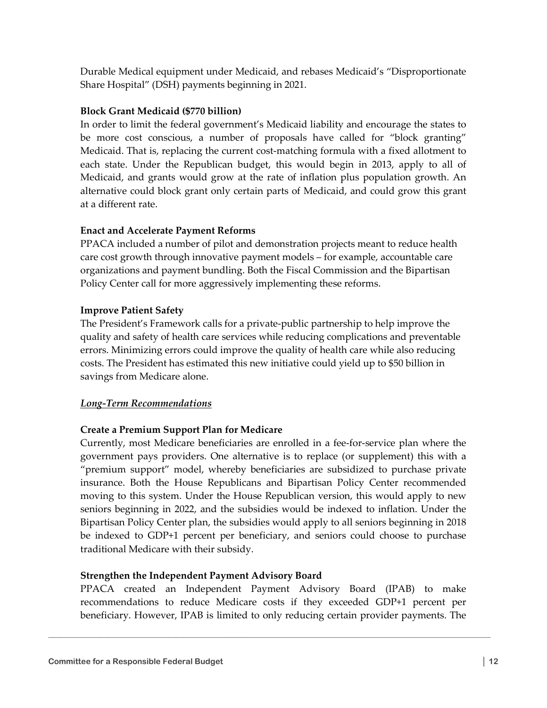Durable Medical equipment under Medicaid, and rebases Medicaid's "Disproportionate Share Hospital" (DSH) payments beginning in 2021.

## Block Grant Medicaid (\$770 billion)

In order to limit the federal government's Medicaid liability and encourage the states to be more cost conscious, a number of proposals have called for "block granting" Medicaid. That is, replacing the current cost-matching formula with a fixed allotment to each state. Under the Republican budget, this would begin in 2013, apply to all of Medicaid, and grants would grow at the rate of inflation plus population growth. An alternative could block grant only certain parts of Medicaid, and could grow this grant at a different rate.

## Enact and Accelerate Payment Reforms

PPACA included a number of pilot and demonstration projects meant to reduce health care cost growth through innovative payment models – for example, accountable care organizations and payment bundling. Both the Fiscal Commission and the Bipartisan Policy Center call for more aggressively implementing these reforms.

## Improve Patient Safety

The President's Framework calls for a private-public partnership to help improve the quality and safety of health care services while reducing complications and preventable errors. Minimizing errors could improve the quality of health care while also reducing costs. The President has estimated this new initiative could yield up to \$50 billion in savings from Medicare alone.

## Long-Term Recommendations

## Create a Premium Support Plan for Medicare

Currently, most Medicare beneficiaries are enrolled in a fee-for-service plan where the government pays providers. One alternative is to replace (or supplement) this with a "premium support" model, whereby beneficiaries are subsidized to purchase private insurance. Both the House Republicans and Bipartisan Policy Center recommended moving to this system. Under the House Republican version, this would apply to new seniors beginning in 2022, and the subsidies would be indexed to inflation. Under the Bipartisan Policy Center plan, the subsidies would apply to all seniors beginning in 2018 be indexed to GDP+1 percent per beneficiary, and seniors could choose to purchase traditional Medicare with their subsidy.

## Strengthen the Independent Payment Advisory Board

PPACA created an Independent Payment Advisory Board (IPAB) to make recommendations to reduce Medicare costs if they exceeded GDP+1 percent per beneficiary. However, IPAB is limited to only reducing certain provider payments. The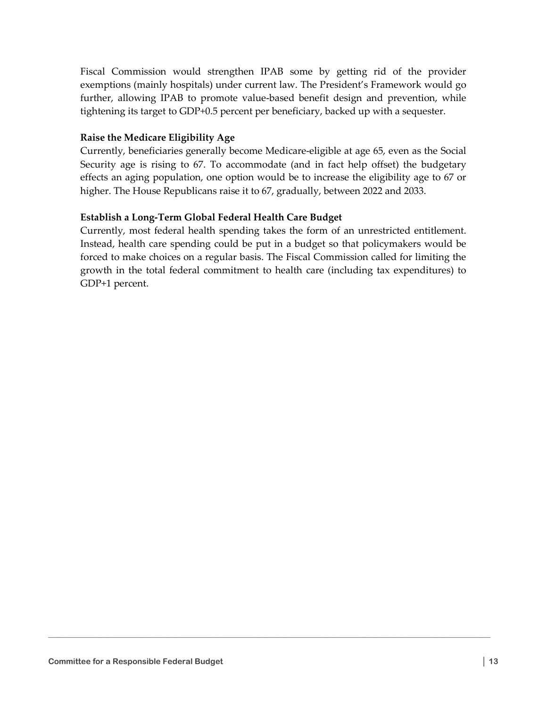Fiscal Commission would strengthen IPAB some by getting rid of the provider exemptions (mainly hospitals) under current law. The President's Framework would go further, allowing IPAB to promote value-based benefit design and prevention, while tightening its target to GDP+0.5 percent per beneficiary, backed up with a sequester.

## Raise the Medicare Eligibility Age

Currently, beneficiaries generally become Medicare-eligible at age 65, even as the Social Security age is rising to 67. To accommodate (and in fact help offset) the budgetary effects an aging population, one option would be to increase the eligibility age to 67 or higher. The House Republicans raise it to 67, gradually, between 2022 and 2033.

## Establish a Long-Term Global Federal Health Care Budget

Currently, most federal health spending takes the form of an unrestricted entitlement. Instead, health care spending could be put in a budget so that policymakers would be forced to make choices on a regular basis. The Fiscal Commission called for limiting the growth in the total federal commitment to health care (including tax expenditures) to GDP+1 percent.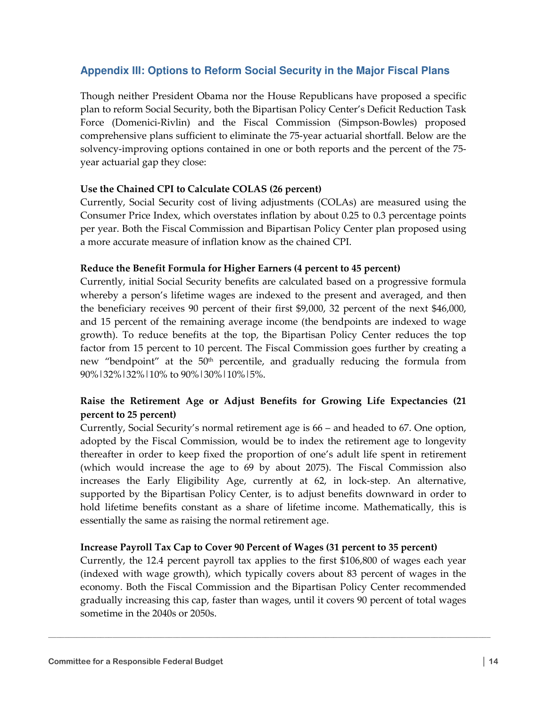# **Appendix III: Options to Reform Social Security in the Major Fiscal Plans**

Though neither President Obama nor the House Republicans have proposed a specific plan to reform Social Security, both the Bipartisan Policy Center's Deficit Reduction Task Force (Domenici-Rivlin) and the Fiscal Commission (Simpson-Bowles) proposed comprehensive plans sufficient to eliminate the 75-year actuarial shortfall. Below are the solvency-improving options contained in one or both reports and the percent of the 75 year actuarial gap they close:

## Use the Chained CPI to Calculate COLAS (26 percent)

Currently, Social Security cost of living adjustments (COLAs) are measured using the Consumer Price Index, which overstates inflation by about 0.25 to 0.3 percentage points per year. Both the Fiscal Commission and Bipartisan Policy Center plan proposed using a more accurate measure of inflation know as the chained CPI.

#### Reduce the Benefit Formula for Higher Earners (4 percent to 45 percent)

Currently, initial Social Security benefits are calculated based on a progressive formula whereby a person's lifetime wages are indexed to the present and averaged, and then the beneficiary receives 90 percent of their first \$9,000, 32 percent of the next \$46,000, and 15 percent of the remaining average income (the bendpoints are indexed to wage growth). To reduce benefits at the top, the Bipartisan Policy Center reduces the top factor from 15 percent to 10 percent. The Fiscal Commission goes further by creating a new "bendpoint" at the  $50<sup>th</sup>$  percentile, and gradually reducing the formula from 90%|32%|32%|10% to 90%|30%|10%|5%.

# Raise the Retirement Age or Adjust Benefits for Growing Life Expectancies (21 percent to 25 percent)

Currently, Social Security's normal retirement age is 66 – and headed to 67. One option, adopted by the Fiscal Commission, would be to index the retirement age to longevity thereafter in order to keep fixed the proportion of one's adult life spent in retirement (which would increase the age to 69 by about 2075). The Fiscal Commission also increases the Early Eligibility Age, currently at 62, in lock-step. An alternative, supported by the Bipartisan Policy Center, is to adjust benefits downward in order to hold lifetime benefits constant as a share of lifetime income. Mathematically, this is essentially the same as raising the normal retirement age.

#### Increase Payroll Tax Cap to Cover 90 Percent of Wages (31 percent to 35 percent)

Currently, the 12.4 percent payroll tax applies to the first \$106,800 of wages each year (indexed with wage growth), which typically covers about 83 percent of wages in the economy. Both the Fiscal Commission and the Bipartisan Policy Center recommended gradually increasing this cap, faster than wages, until it covers 90 percent of total wages sometime in the 2040s or 2050s.